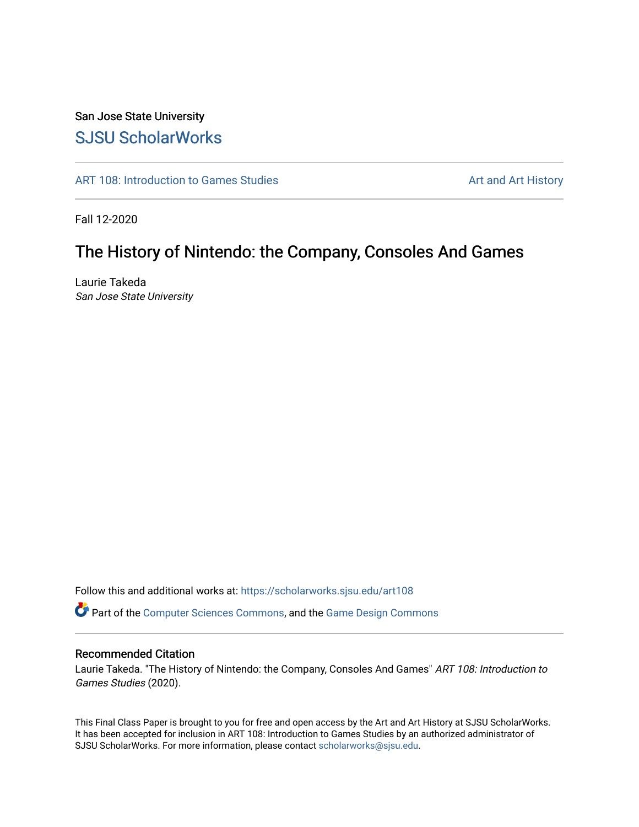# San Jose State University [SJSU ScholarWorks](https://scholarworks.sjsu.edu/)

[ART 108: Introduction to Games Studies](https://scholarworks.sjsu.edu/art108) Art and Art History

Fall 12-2020

# The History of Nintendo: the Company, Consoles And Games

Laurie Takeda San Jose State University

Follow this and additional works at: [https://scholarworks.sjsu.edu/art108](https://scholarworks.sjsu.edu/art108?utm_source=scholarworks.sjsu.edu%2Fart108%2F21&utm_medium=PDF&utm_campaign=PDFCoverPages)

Part of the [Computer Sciences Commons](http://network.bepress.com/hgg/discipline/142?utm_source=scholarworks.sjsu.edu%2Fart108%2F21&utm_medium=PDF&utm_campaign=PDFCoverPages), and the [Game Design Commons](http://network.bepress.com/hgg/discipline/1133?utm_source=scholarworks.sjsu.edu%2Fart108%2F21&utm_medium=PDF&utm_campaign=PDFCoverPages)

## Recommended Citation

Laurie Takeda. "The History of Nintendo: the Company, Consoles And Games" ART 108: Introduction to Games Studies (2020).

This Final Class Paper is brought to you for free and open access by the Art and Art History at SJSU ScholarWorks. It has been accepted for inclusion in ART 108: Introduction to Games Studies by an authorized administrator of SJSU ScholarWorks. For more information, please contact [scholarworks@sjsu.edu](mailto:scholarworks@sjsu.edu).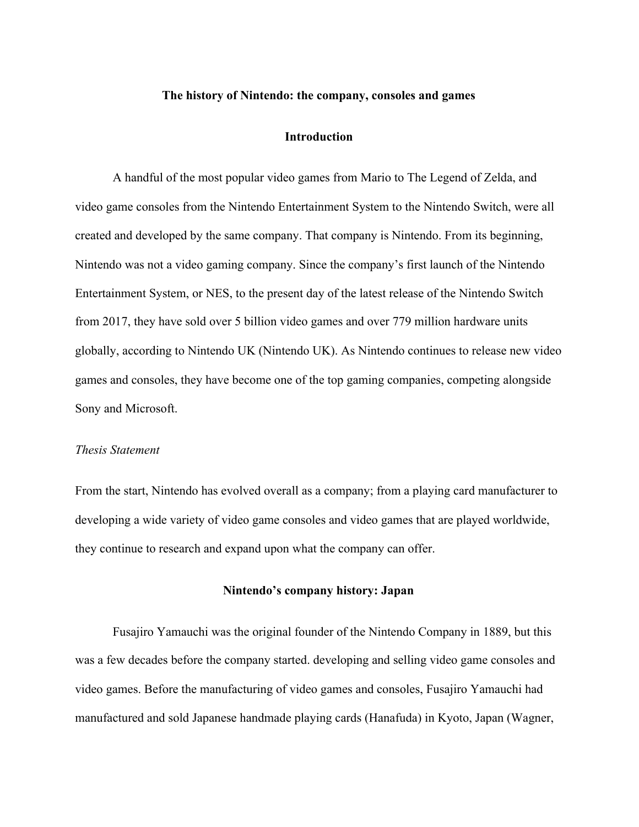#### **The history of Nintendo: the company, consoles and games**

#### **Introduction**

A handful of the most popular video games from Mario to The Legend of Zelda, and video game consoles from the Nintendo Entertainment System to the Nintendo Switch, were all created and developed by the same company. That company is Nintendo. From its beginning, Nintendo was not a video gaming company. Since the company's first launch of the Nintendo Entertainment System, or NES, to the present day of the latest release of the Nintendo Switch from 2017, they have sold over 5 billion video games and over 779 million hardware units globally, according to Nintendo UK (Nintendo UK). As Nintendo continues to release new video games and consoles, they have become one of the top gaming companies, competing alongside Sony and Microsoft.

### *Thesis Statement*

From the start, Nintendo has evolved overall as a company; from a playing card manufacturer to developing a wide variety of video game consoles and video games that are played worldwide, they continue to research and expand upon what the company can offer.

## **Nintendo's company history: Japan**

Fusajiro Yamauchi was the original founder of the Nintendo Company in 1889, but this was a few decades before the company started. developing and selling video game consoles and video games. Before the manufacturing of video games and consoles, Fusajiro Yamauchi had manufactured and sold Japanese handmade playing cards (Hanafuda) in Kyoto, Japan (Wagner,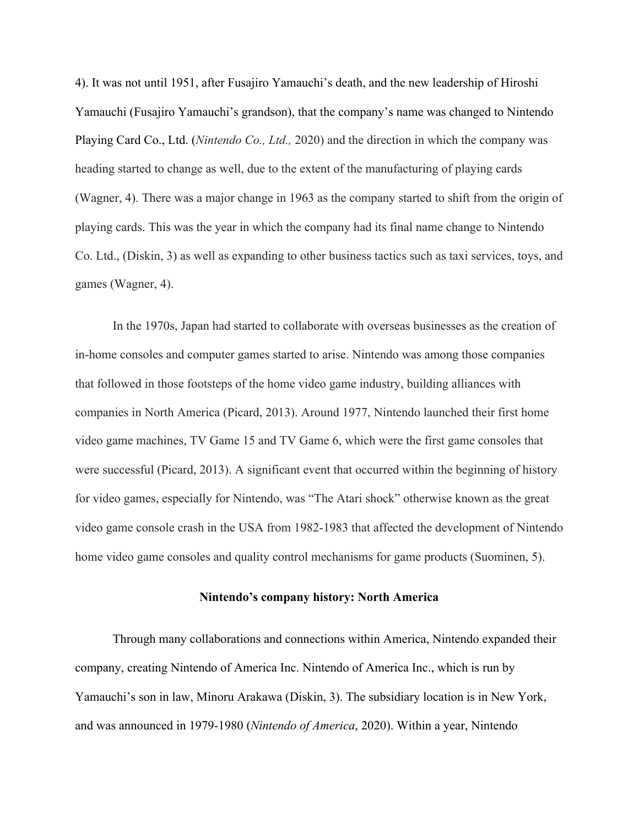4). It was not until 1951, after Fusajiro Yamauchi's death, and the new leadership of Hiroshi Yamauchi (Fusajiro Yamauchi's grandson), that the company's name was changed to Nintendo Playing Card Co., Ltd. (*Nintendo Co., Ltd.,* 2020) and the direction in which the company was heading started to change as well, due to the extent of the manufacturing of playing cards (Wagner, 4). There was a major change in 1963 as the company started to shift from the origin of playing cards. This was the year in which the company had its final name change to Nintendo Co. Ltd., (Diskin, 3) as well as expanding to other business tactics such as taxi services, toys, and games (Wagner, 4).

In the 1970s, Japan had started to collaborate with overseas businesses as the creation of in-home consoles and computer games started to arise. Nintendo was among those companies that followed in those footsteps of the home video game industry, building alliances with companies in North America (Picard, 2013). Around 1977, Nintendo launched their first home video game machines, TV Game 15 and TV Game 6, which were the first game consoles that were successful (Picard, 2013). A significant event that occurred within the beginning of history for video games, especially for Nintendo, was "The Atari shock" otherwise known as the great video game console crash in the USA from 1982-1983 that affected the development of Nintendo home video game consoles and quality control mechanisms for game products (Suominen, 5).

## **Nintendo's company history: North America**

Through many collaborations and connections within America, Nintendo expanded their company, creating Nintendo of America Inc. Nintendo of America Inc., which is run by Yamauchi's son in law, Minoru Arakawa (Diskin, 3). The subsidiary location is in New York, and was announced in 1979-1980 (*Nintendo of America*, 2020). Within a year, Nintendo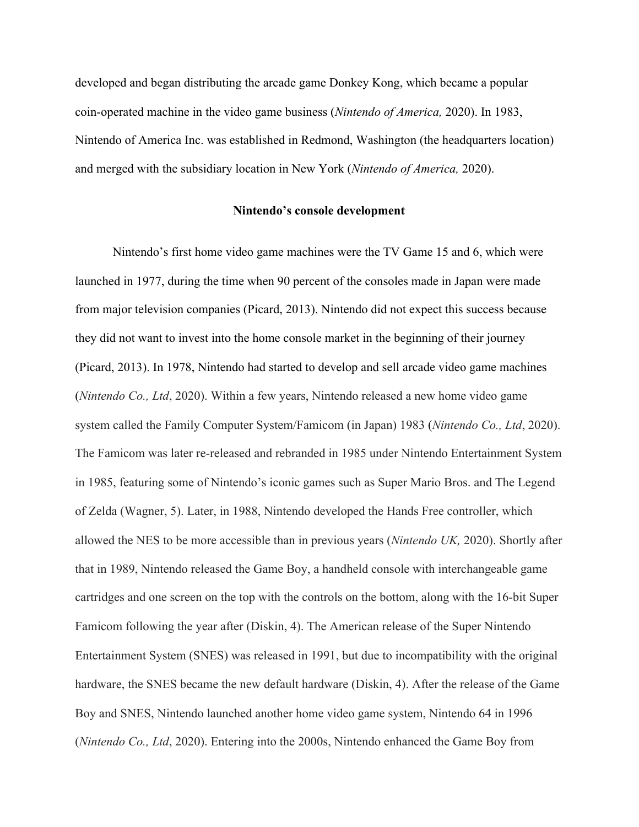developed and began distributing the arcade game Donkey Kong, which became a popular coin-operated machine in the video game business (*Nintendo of America,* 2020). In 1983, Nintendo of America Inc. was established in Redmond, Washington (the headquarters location) and merged with the subsidiary location in New York (*Nintendo of America,* 2020).

#### **Nintendo's console development**

Nintendo's first home video game machines were the TV Game 15 and 6, which were launched in 1977, during the time when 90 percent of the consoles made in Japan were made from major television companies (Picard, 2013). Nintendo did not expect this success because they did not want to invest into the home console market in the beginning of their journey (Picard, 2013). In 1978, Nintendo had started to develop and sell arcade video game machines (*Nintendo Co., Ltd*, 2020). Within a few years, Nintendo released a new home video game system called the Family Computer System/Famicom (in Japan) 1983 (*Nintendo Co., Ltd*, 2020). The Famicom was later re-released and rebranded in 1985 under Nintendo Entertainment System in 1985, featuring some of Nintendo's iconic games such as Super Mario Bros. and The Legend of Zelda (Wagner, 5). Later, in 1988, Nintendo developed the Hands Free controller, which allowed the NES to be more accessible than in previous years (*Nintendo UK,* 2020). Shortly after that in 1989, Nintendo released the Game Boy, a handheld console with interchangeable game cartridges and one screen on the top with the controls on the bottom, along with the 16-bit Super Famicom following the year after (Diskin, 4). The American release of the Super Nintendo Entertainment System (SNES) was released in 1991, but due to incompatibility with the original hardware, the SNES became the new default hardware (Diskin, 4). After the release of the Game Boy and SNES, Nintendo launched another home video game system, Nintendo 64 in 1996 (*Nintendo Co., Ltd*, 2020). Entering into the 2000s, Nintendo enhanced the Game Boy from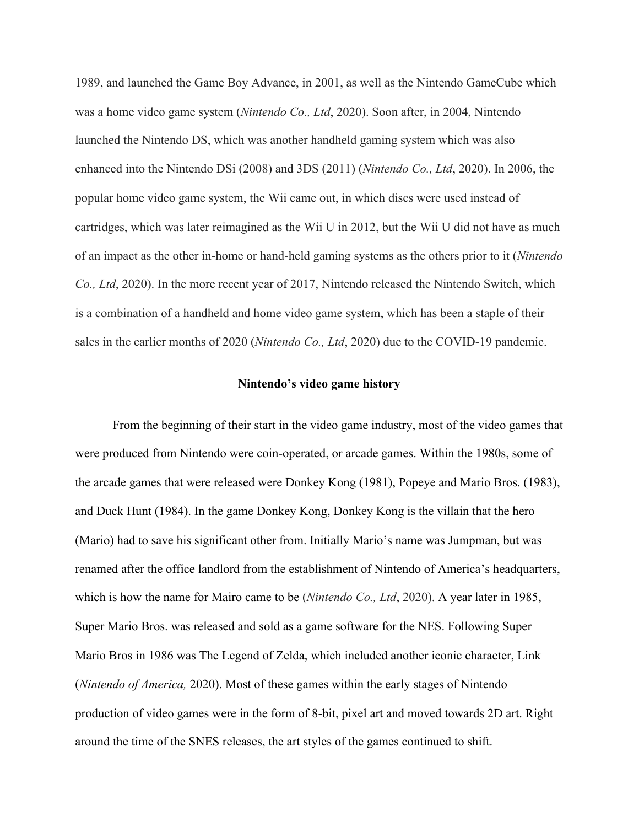1989, and launched the Game Boy Advance, in 2001, as well as the Nintendo GameCube which was a home video game system (*Nintendo Co., Ltd*, 2020). Soon after, in 2004, Nintendo launched the Nintendo DS, which was another handheld gaming system which was also enhanced into the Nintendo DSi (2008) and 3DS (2011) (*Nintendo Co., Ltd*, 2020). In 2006, the popular home video game system, the Wii came out, in which discs were used instead of cartridges, which was later reimagined as the Wii U in 2012, but the Wii U did not have as much of an impact as the other in-home or hand-held gaming systems as the others prior to it (*Nintendo Co., Ltd*, 2020). In the more recent year of 2017, Nintendo released the Nintendo Switch, which is a combination of a handheld and home video game system, which has been a staple of their sales in the earlier months of 2020 (*Nintendo Co., Ltd*, 2020) due to the COVID-19 pandemic.

### **Nintendo's video game history**

From the beginning of their start in the video game industry, most of the video games that were produced from Nintendo were coin-operated, or arcade games. Within the 1980s, some of the arcade games that were released were Donkey Kong (1981), Popeye and Mario Bros. (1983), and Duck Hunt (1984). In the game Donkey Kong, Donkey Kong is the villain that the hero (Mario) had to save his significant other from. Initially Mario's name was Jumpman, but was renamed after the office landlord from the establishment of Nintendo of America's headquarters, which is how the name for Mairo came to be (*Nintendo Co., Ltd*, 2020). A year later in 1985, Super Mario Bros. was released and sold as a game software for the NES. Following Super Mario Bros in 1986 was The Legend of Zelda, which included another iconic character, Link (*Nintendo of America,* 2020). Most of these games within the early stages of Nintendo production of video games were in the form of 8-bit, pixel art and moved towards 2D art. Right around the time of the SNES releases, the art styles of the games continued to shift.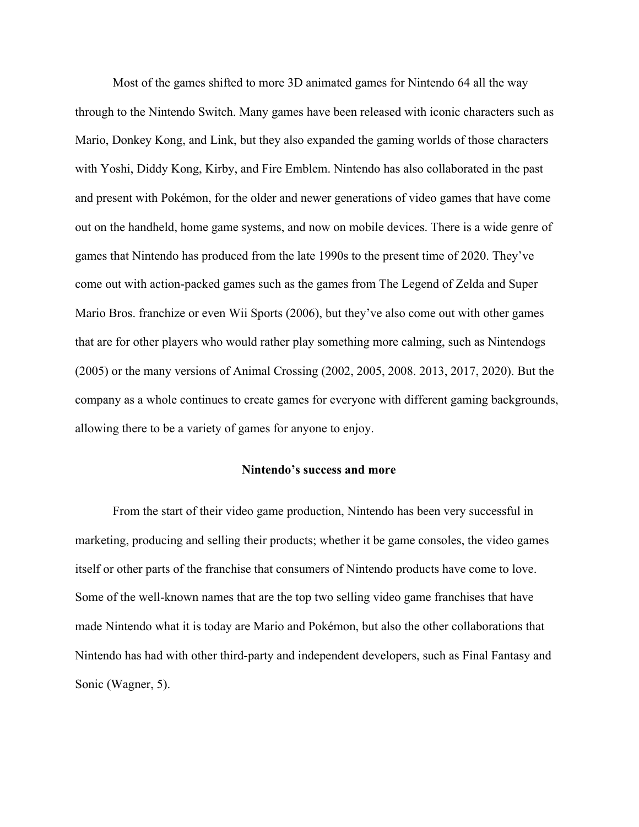Most of the games shifted to more 3D animated games for Nintendo 64 all the way through to the Nintendo Switch. Many games have been released with iconic characters such as Mario, Donkey Kong, and Link, but they also expanded the gaming worlds of those characters with Yoshi, Diddy Kong, Kirby, and Fire Emblem. Nintendo has also collaborated in the past and present with Pokémon, for the older and newer generations of video games that have come out on the handheld, home game systems, and now on mobile devices. There is a wide genre of games that Nintendo has produced from the late 1990s to the present time of 2020. They've come out with action-packed games such as the games from The Legend of Zelda and Super Mario Bros. franchize or even Wii Sports (2006), but they've also come out with other games that are for other players who would rather play something more calming, such as Nintendogs (2005) or the many versions of Animal Crossing (2002, 2005, 2008. 2013, 2017, 2020). But the company as a whole continues to create games for everyone with different gaming backgrounds, allowing there to be a variety of games for anyone to enjoy.

#### **Nintendo's success and more**

From the start of their video game production, Nintendo has been very successful in marketing, producing and selling their products; whether it be game consoles, the video games itself or other parts of the franchise that consumers of Nintendo products have come to love. Some of the well-known names that are the top two selling video game franchises that have made Nintendo what it is today are Mario and Pokémon, but also the other collaborations that Nintendo has had with other third-party and independent developers, such as Final Fantasy and Sonic (Wagner, 5).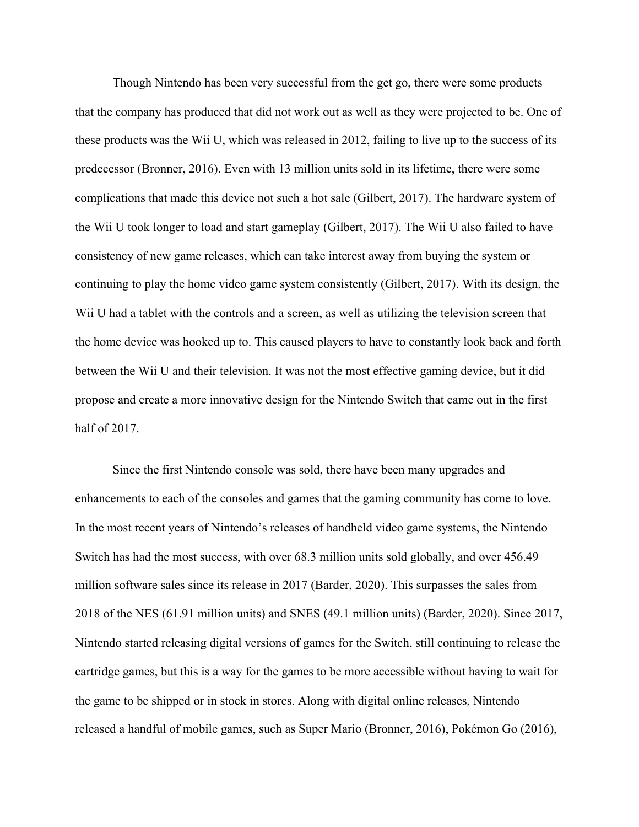Though Nintendo has been very successful from the get go, there were some products that the company has produced that did not work out as well as they were projected to be. One of these products was the Wii U, which was released in 2012, failing to live up to the success of its predecessor (Bronner, 2016). Even with 13 million units sold in its lifetime, there were some complications that made this device not such a hot sale (Gilbert, 2017). The hardware system of the Wii U took longer to load and start gameplay (Gilbert, 2017). The Wii U also failed to have consistency of new game releases, which can take interest away from buying the system or continuing to play the home video game system consistently (Gilbert, 2017). With its design, the Wii U had a tablet with the controls and a screen, as well as utilizing the television screen that the home device was hooked up to. This caused players to have to constantly look back and forth between the Wii U and their television. It was not the most effective gaming device, but it did propose and create a more innovative design for the Nintendo Switch that came out in the first half of 2017.

Since the first Nintendo console was sold, there have been many upgrades and enhancements to each of the consoles and games that the gaming community has come to love. In the most recent years of Nintendo's releases of handheld video game systems, the Nintendo Switch has had the most success, with over 68.3 million units sold globally, and over 456.49 million software sales since its release in 2017 (Barder, 2020). This surpasses the sales from 2018 of the NES (61.91 million units) and SNES (49.1 million units) (Barder, 2020). Since 2017, Nintendo started releasing digital versions of games for the Switch, still continuing to release the cartridge games, but this is a way for the games to be more accessible without having to wait for the game to be shipped or in stock in stores. Along with digital online releases, Nintendo released a handful of mobile games, such as Super Mario (Bronner, 2016), Pokémon Go (2016),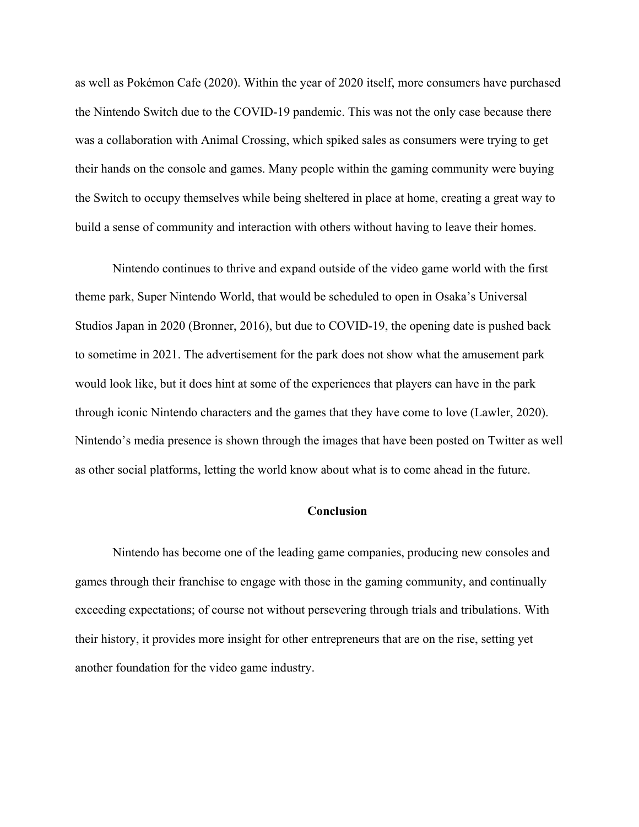as well as Pokémon Cafe (2020). Within the year of 2020 itself, more consumers have purchased the Nintendo Switch due to the COVID-19 pandemic. This was not the only case because there was a collaboration with Animal Crossing, which spiked sales as consumers were trying to get their hands on the console and games. Many people within the gaming community were buying the Switch to occupy themselves while being sheltered in place at home, creating a great way to build a sense of community and interaction with others without having to leave their homes.

Nintendo continues to thrive and expand outside of the video game world with the first theme park, Super Nintendo World, that would be scheduled to open in Osaka's Universal Studios Japan in 2020 (Bronner, 2016), but due to COVID-19, the opening date is pushed back to sometime in 2021. The advertisement for the park does not show what the amusement park would look like, but it does hint at some of the experiences that players can have in the park through iconic Nintendo characters and the games that they have come to love (Lawler, 2020). Nintendo's media presence is shown through the images that have been posted on Twitter as well as other social platforms, letting the world know about what is to come ahead in the future.

## **Conclusion**

Nintendo has become one of the leading game companies, producing new consoles and games through their franchise to engage with those in the gaming community, and continually exceeding expectations; of course not without persevering through trials and tribulations. With their history, it provides more insight for other entrepreneurs that are on the rise, setting yet another foundation for the video game industry.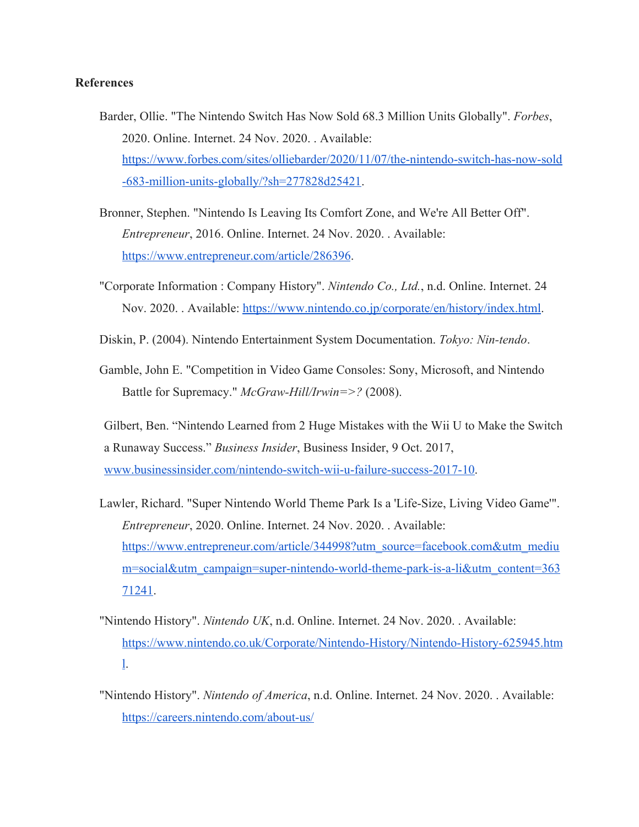## **References**

- Barder, Ollie. "The Nintendo Switch Has Now Sold 68.3 Million Units Globally". *Forbes*, 2020. Online. Internet. 24 Nov. 2020. . Available: [https://www.forbes.com/sites/olliebarder/2020/11/07/the-nintendo-switch-has-now-sold](https://www.forbes.com/sites/olliebarder/2020/11/07/the-nintendo-switch-has-now-sold-683-million-units-globally/?sh=277828d25421) [-683-million-units-globally/?sh=277828d25421](https://www.forbes.com/sites/olliebarder/2020/11/07/the-nintendo-switch-has-now-sold-683-million-units-globally/?sh=277828d25421).
- Bronner, Stephen. "Nintendo Is Leaving Its Comfort Zone, and We're All Better Off". *Entrepreneur*, 2016. Online. Internet. 24 Nov. 2020. . Available: <https://www.entrepreneur.com/article/286396>.
- "Corporate Information : Company History". *Nintendo Co., Ltd.*, n.d. Online. Internet. 24 Nov. 2020. . Available:<https://www.nintendo.co.jp/corporate/en/history/index.html>.
- Diskin, P. (2004). Nintendo Entertainment System Documentation. *Tokyo: Nin-tendo*.
- Gamble, John E. "Competition in Video Game Consoles: Sony, Microsoft, and Nintendo Battle for Supremacy." *McGraw-Hill/Irwin=>?* (2008).
- Gilbert, Ben. "Nintendo Learned from 2 Huge Mistakes with the Wii U to Make the Switch a Runaway Success." *Business Insider*, Business Insider, 9 Oct. 2017, [www.businessinsider.com/nintendo-switch-wii-u-failure-success-2017-10](http://www.businessinsider.com/nintendo-switch-wii-u-failure-success-2017-10).
- Lawler, Richard. "Super Nintendo World Theme Park Is a 'Life-Size, Living Video Game'". *Entrepreneur*, 2020. Online. Internet. 24 Nov. 2020. . Available: [https://www.entrepreneur.com/article/344998?utm\\_source=facebook.com&utm\\_mediu](https://www.entrepreneur.com/article/344998?utm_source=facebook.com&utm_medium=social&utm_campaign=super-nintendo-world-theme-park-is-a-li&utm_content=36371241) [m=social&utm\\_campaign=super-nintendo-world-theme-park-is-a-li&utm\\_content=363](https://www.entrepreneur.com/article/344998?utm_source=facebook.com&utm_medium=social&utm_campaign=super-nintendo-world-theme-park-is-a-li&utm_content=36371241) [71241](https://www.entrepreneur.com/article/344998?utm_source=facebook.com&utm_medium=social&utm_campaign=super-nintendo-world-theme-park-is-a-li&utm_content=36371241).
- "Nintendo History". *Nintendo UK*, n.d. Online. Internet. 24 Nov. 2020. . Available: [https://www.nintendo.co.uk/Corporate/Nintendo-History/Nintendo-History-625945.htm](https://www.nintendo.co.uk/Corporate/Nintendo-History/Nintendo-History-625945.html) [l](https://www.nintendo.co.uk/Corporate/Nintendo-History/Nintendo-History-625945.html).
- "Nintendo History". *Nintendo of America*, n.d. Online. Internet. 24 Nov. 2020. . Available: <https://careers.nintendo.com/about-us/>